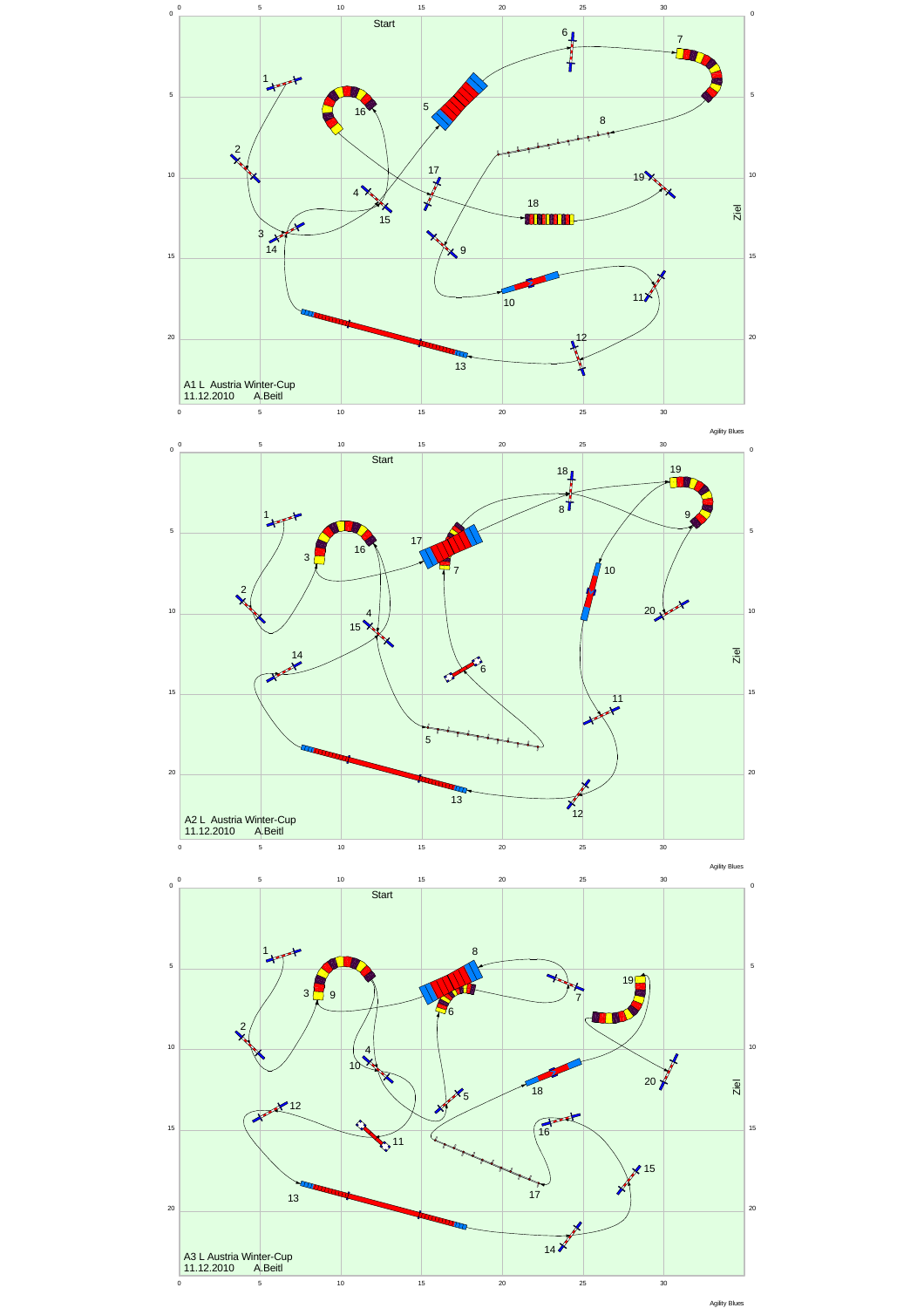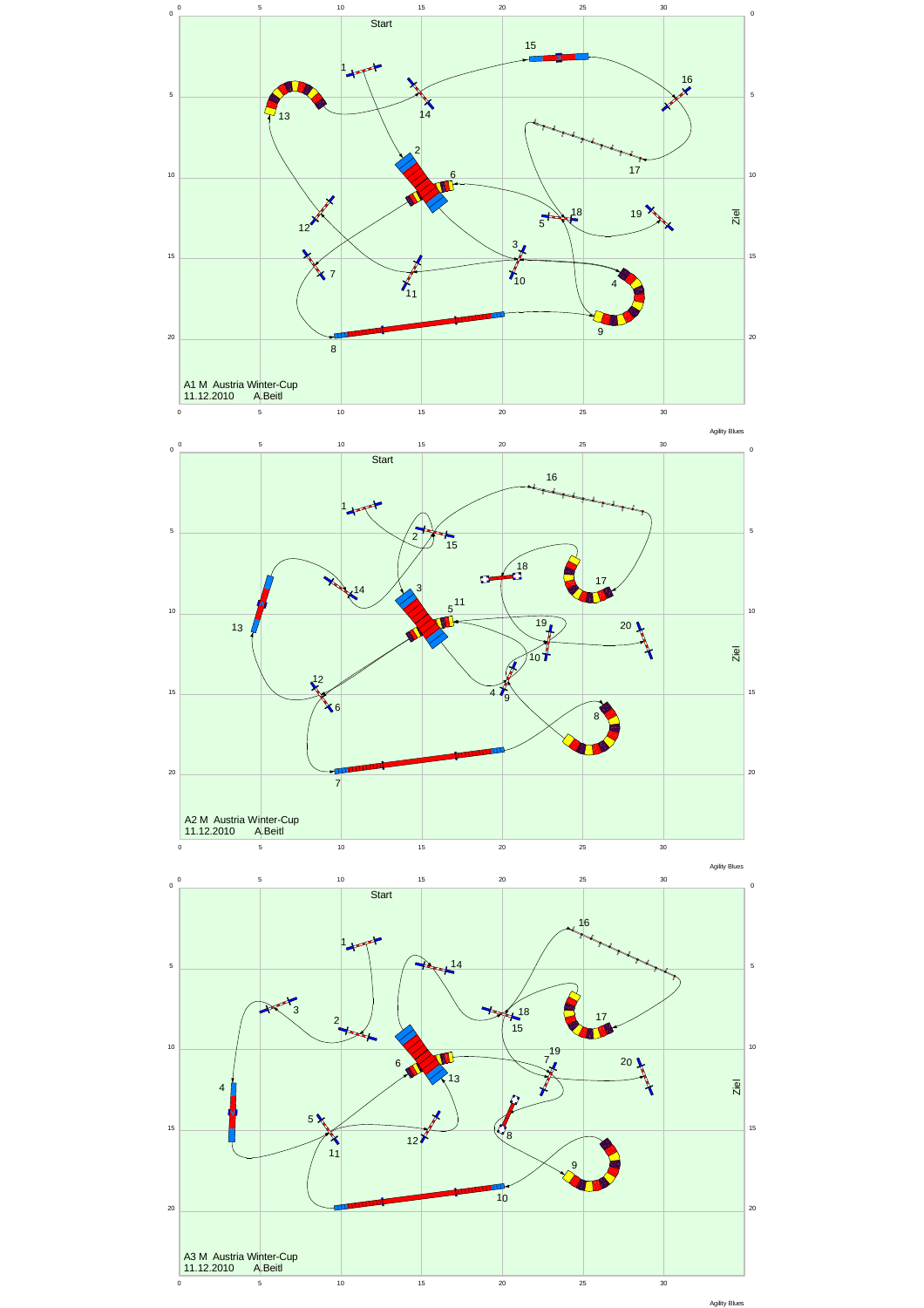